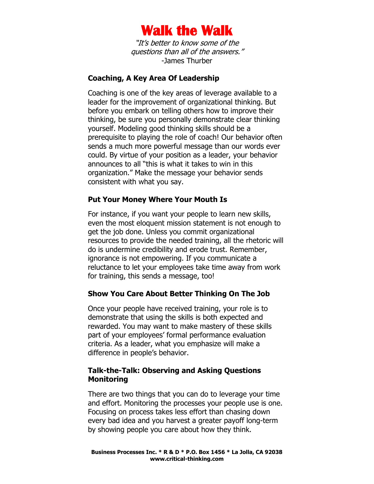

"It's better to know some of the questions than all of the answers." -James Thurber

#### **Coaching, A Key Area Of Leadership**

Coaching is one of the key areas of leverage available to a leader for the improvement of organizational thinking. But before you embark on telling others how to improve their thinking, be sure you personally demonstrate clear thinking yourself. Modeling good thinking skills should be a prerequisite to playing the role of coach! Our behavior often sends a much more powerful message than our words ever could. By virtue of your position as a leader, your behavior announces to all "this is what it takes to win in this organization." Make the message your behavior sends consistent with what you say.

#### **Put Your Money Where Your Mouth Is**

For instance, if you want your people to learn new skills, even the most eloquent mission statement is not enough to get the job done. Unless you commit organizational resources to provide the needed training, all the rhetoric will do is undermine credibility and erode trust. Remember, ignorance is not empowering. If you communicate a reluctance to let your employees take time away from work for training, this sends a message, too!

### **Show You Care About Better Thinking On The Job**

Once your people have received training, your role is to demonstrate that using the skills is both expected and rewarded. You may want to make mastery of these skills part of your employees' formal performance evaluation criteria. As a leader, what you emphasize will make a difference in people's behavior.

#### **Talk-the-Talk: Observing and Asking Questions Monitoring**

There are two things that you can do to leverage your time and effort. Monitoring the processes your people use is one. Focusing on process takes less effort than chasing down every bad idea and you harvest a greater payoff long-term by showing people you care about how they think.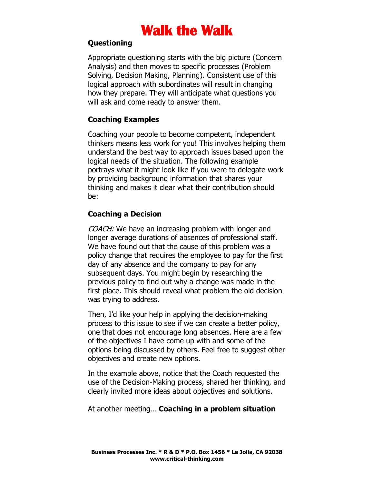# **Questioning**

Appropriate questioning starts with the big picture (Concern Analysis) and then moves to specific processes (Problem Solving, Decision Making, Planning). Consistent use of this logical approach with subordinates will result in changing how they prepare. They will anticipate what questions you will ask and come ready to answer them.

### **Coaching Examples**

Coaching your people to become competent, independent thinkers means less work for you! This involves helping them understand the best way to approach issues based upon the logical needs of the situation. The following example portrays what it might look like if you were to delegate work by providing background information that shares your thinking and makes it clear what their contribution should be:

## **Coaching a Decision**

COACH: We have an increasing problem with longer and longer average durations of absences of professional staff. We have found out that the cause of this problem was a policy change that requires the employee to pay for the first day of any absence and the company to pay for any subsequent days. You might begin by researching the previous policy to find out why a change was made in the first place. This should reveal what problem the old decision was trying to address.

Then, I'd like your help in applying the decision-making process to this issue to see if we can create a better policy, one that does not encourage long absences. Here are a few of the objectives I have come up with and some of the options being discussed by others. Feel free to suggest other objectives and create new options.

In the example above, notice that the Coach requested the use of the Decision-Making process, shared her thinking, and clearly invited more ideas about objectives and solutions.

### At another meeting… **Coaching in a problem situation**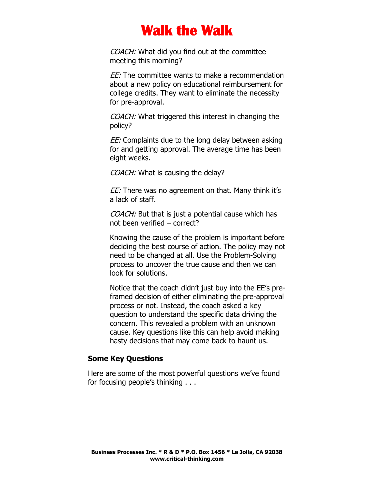COACH: What did you find out at the committee meeting this morning?

EE: The committee wants to make a recommendation about a new policy on educational reimbursement for college credits. They want to eliminate the necessity for pre-approval.

COACH: What triggered this interest in changing the policy?

EE: Complaints due to the long delay between asking for and getting approval. The average time has been eight weeks.

COACH: What is causing the delay?

EE: There was no agreement on that. Many think it's a lack of staff.

COACH: But that is just a potential cause which has not been verified – correct?

Knowing the cause of the problem is important before deciding the best course of action. The policy may not need to be changed at all. Use the Problem-Solving process to uncover the true cause and then we can look for solutions.

Notice that the coach didn't just buy into the EE's preframed decision of either eliminating the pre-approval process or not. Instead, the coach asked a key question to understand the specific data driving the concern. This revealed a problem with an unknown cause. Key questions like this can help avoid making hasty decisions that may come back to haunt us.

#### **Some Key Questions**

Here are some of the most powerful questions we've found for focusing people's thinking . . .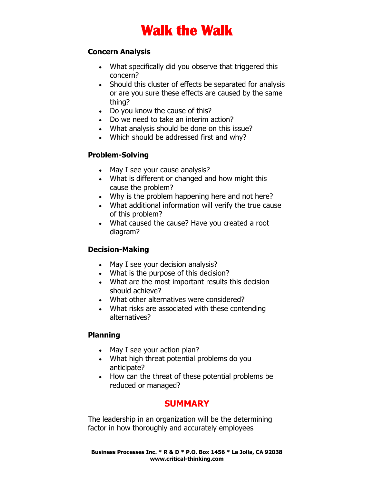## **Concern Analysis**

- What specifically did you observe that triggered this concern?
- Should this cluster of effects be separated for analysis or are you sure these effects are caused by the same thing?
- Do you know the cause of this?
- Do we need to take an interim action?
- What analysis should be done on this issue?
- Which should be addressed first and why?

# **Problem-Solving**

- May I see your cause analysis?
- What is different or changed and how might this cause the problem?
- Why is the problem happening here and not here?
- What additional information will verify the true cause of this problem?
- What caused the cause? Have you created a root diagram?

# **Decision-Making**

- May I see your decision analysis?
- What is the purpose of this decision?
- What are the most important results this decision should achieve?
- What other alternatives were considered?
- What risks are associated with these contending alternatives?

# **Planning**

- May I see your action plan?
- What high threat potential problems do you anticipate?
- How can the threat of these potential problems be reduced or managed?

# **SUMMARY**

The leadership in an organization will be the determining factor in how thoroughly and accurately employees